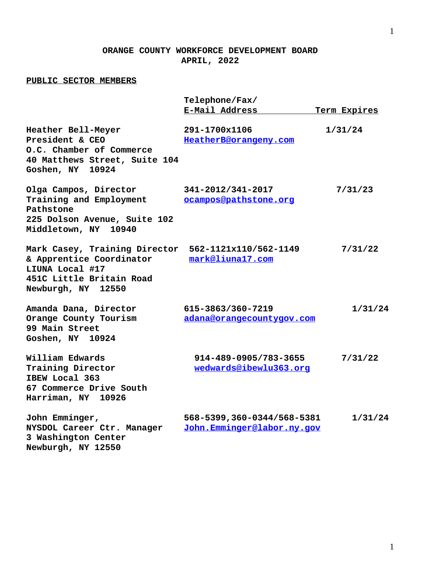## **ORANGE COUNTY WORKFORCE DEVELOPMENT BOARD APRIL, 2022**

## **PUBLIC SECTOR MEMBERS**

|                                                                                                                                | Telephone/Fax/                                            |              |
|--------------------------------------------------------------------------------------------------------------------------------|-----------------------------------------------------------|--------------|
|                                                                                                                                | E-Mail Address                                            | Term Expires |
| Heather Bell-Meyer<br>President & CEO<br>O.C. Chamber of Commerce<br>40 Matthews Street, Suite 104<br>Goshen, NY 10924         | 291-1700x1106<br>HeatherB@orangeny.com                    | 1/31/24      |
| Olga Campos, Director<br>Training and Employment<br>Pathstone<br>225 Dolson Avenue, Suite 102<br>Middletown, NY 10940          | 341-2012/341-2017<br>ocampos@pathstone.org                | 7/31/23      |
| Mark Casey, Training Director<br>& Apprentice Coordinator<br>LIUNA Local #17<br>451C Little Britain Road<br>Newburgh, NY 12550 | 562-1121x110/562-1149<br>mark@liuna17.com                 | 7/31/22      |
| Amanda Dana, Director<br>Orange County Tourism<br>99 Main Street<br>Goshen, NY 10924                                           | 615-3863/360-7219<br>adana@orangecountygov.com            | 1/31/24      |
| William Edwards<br>Training Director<br>IBEW Local 363<br>67 Commerce Drive South<br>Harriman, NY 10926                        | 914-489-0905/783-3655<br>wedwards@ibewlu363.org           | 7/31/22      |
| John Emminger,<br>NYSDOL Career Ctr. Manager<br>3 Washington Center<br>Newburgh, NY 12550                                      | 568-5399, 360-0344/568-5381<br>John.Emminger@labor.ny.gov | 1/31/24      |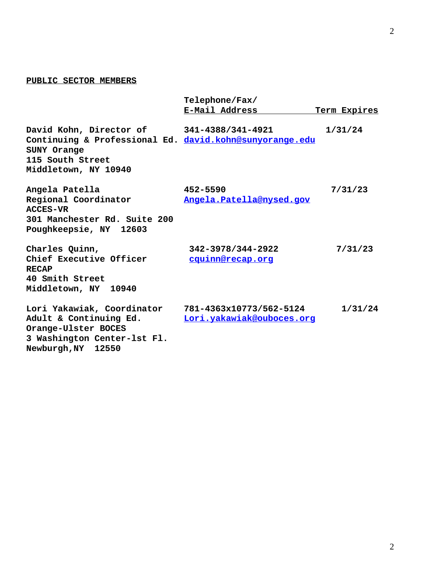## **PUBLIC SECTOR MEMBERS**

|                                                                                                                                  | Telephone/Fax/<br>E-Mail Address                     |              |  |
|----------------------------------------------------------------------------------------------------------------------------------|------------------------------------------------------|--------------|--|
|                                                                                                                                  |                                                      | Term Expires |  |
| David Kohn, Director of 341-4388/341-4921<br>Continuing & Professional Ed. david.kohn@sunyorange.edu                             |                                                      | 1/31/24      |  |
| SUNY Orange<br>115 South Street<br>Middletown, NY 10940                                                                          |                                                      |              |  |
|                                                                                                                                  |                                                      |              |  |
| Angela Patella<br>Regional Coordinator<br><b>ACCES-VR</b><br>301 Manchester Rd. Suite 200<br>Poughkeepsie, NY 12603              | 452-5590<br>Angela. Patella@nysed.gov                | 7/31/23      |  |
| Charles Quinn,<br>Chief Executive Officer<br><b>RECAP</b><br>40 Smith Street<br>Middletown, NY 10940                             | 342-3978/344-2922<br>cquinn@recap.org                | 7/31/23      |  |
| Lori Yakawiak, Coordinator<br>Adult & Continuing Ed.<br>Orange-Ulster BOCES<br>3 Washington Center-1st Fl.<br>Newburgh, NY 12550 | 781-4363x10773/562-5124<br>Lori.yakawiak@ouboces.org | 1/31/24      |  |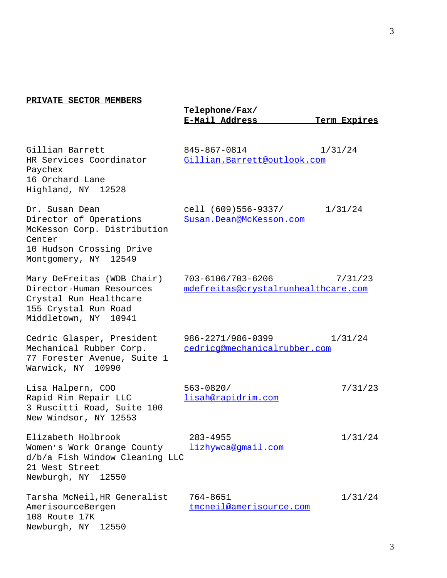## **PRIVATE SECTOR MEMBERS**

|                                                                                                                                       | Telephone/Fax/<br>E-Mail Address                         | Term Expires |
|---------------------------------------------------------------------------------------------------------------------------------------|----------------------------------------------------------|--------------|
| Gillian Barrett<br>HR Services Coordinator<br>Paychex<br>16 Orchard Lane<br>Highland, NY 12528                                        | 845-867-0814<br>Gillian. Barrett@outlook.com             | 1/31/24      |
| Dr. Susan Dean<br>Director of Operations<br>McKesson Corp. Distribution<br>Center<br>10 Hudson Crossing Drive<br>Montgomery, NY 12549 | cell (609)556-9337/<br>Susan.Dean@McKesson.com           | 1/31/24      |
| Mary DeFreitas (WDB Chair)<br>Director-Human Resources<br>Crystal Run Healthcare<br>155 Crystal Run Road<br>Middletown, NY 10941      | 703-6106/703-6206<br>mdefreitas@crystalrunhealthcare.com | 7/31/23      |
| Cedric Glasper, President<br>Mechanical Rubber Corp.<br>77 Forester Avenue, Suite 1<br>Warwick, NY 10990                              | 986-2271/986-0399<br>cedricq@mechanicalrubber.com        | 1/31/24      |
| Lisa Halpern, COO<br>Rapid Rim Repair LLC<br>3 Ruscitti Road, Suite 100<br>New Windsor, NY 12553                                      | $563 - 0820/$<br>lisah@rapidrim.com                      | 7/31/23      |
| Elizabeth Holbrook<br>Women's Work Orange County<br>d/b/a Fish Window Cleaning LLC<br>21 West Street<br>Newburgh, NY 12550            | $283 - 4955$<br>lizhywca@gmail.com                       | 1/31/24      |
| Tarsha McNeil, HR Generalist<br>AmerisourceBergen<br>108 Route 17K<br>Newburgh, NY 12550                                              | 764-8651<br>tmcneil@amerisource.com                      | 1/31/24      |